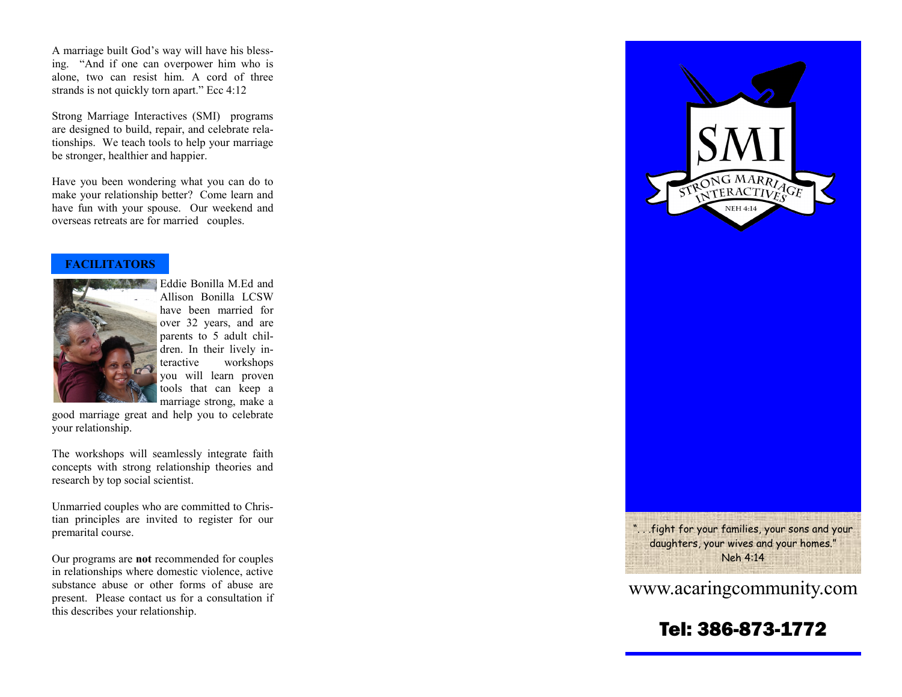A marriage built God's way will have his blessing. "And if one can overpower him who is alone, two can resist him. A cord of three strands is not quickly torn apart." Ecc 4:12

Strong Marriage Interactives (SMI) programs are designed to build, repair, and celebrate relationships. We teach tools to help your marriage be stronger, healthier and happier.

Have you been wondering what you can do to make your relationship better? Come learn and have fun with your spouse. Our weekend and overseas retreats are for married couples.

#### **FACILITATORS**



Eddie Bonilla M.Ed and Allison Bonilla LCSW have been married for over 32 years, and are parents to 5 adult children. In their lively interactive workshops you will learn proven tools that can keep a marriage strong, make a

good marriage great and help you to celebrate your relationship.

The workshops will seamlessly integrate faith concepts with strong relationship theories and research by top social scientist.

Unmarried couples who are committed to Christian principles are invited to register for our premarital course.

Our programs are **not** recommended for couples in relationships where domestic violence, active substance abuse or other forms of abuse are present. Please contact us for a consultation if this describes your relationship.



". . .fight for your families, your sons and your daughters, your wives and your homes." Neh 4:14

## www.acaringcommunity.com

## Tel: 386 -873 -1772